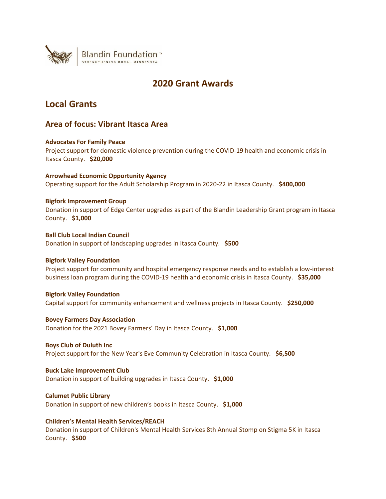

# **2020 Grant Awards**

# **Local Grants**

## **Area of focus: Vibrant Itasca Area**

## **Advocates For Family Peace**

Project support for domestic violence prevention during the COVID-19 health and economic crisis in Itasca County. **\$20,000**

**Arrowhead Economic Opportunity Agency** Operating support for the Adult Scholarship Program in 2020-22 in Itasca County. **\$400,000**

## **Bigfork Improvement Group**

Donation in support of Edge Center upgrades as part of the Blandin Leadership Grant program in Itasca County. **\$1,000**

**Ball Club Local Indian Council** Donation in support of landscaping upgrades in Itasca County. **\$500**

## **Bigfork Valley Foundation**

Project support for community and hospital emergency response needs and to establish a low-interest business loan program during the COVID-19 health and economic crisis in Itasca County. **\$35,000**

## **Bigfork Valley Foundation**

Capital support for community enhancement and wellness projects in Itasca County. **\$250,000**

**Bovey Farmers Day Association** Donation for the 2021 Bovey Farmers' Day in Itasca County. **\$1,000**

## **Boys Club of Duluth Inc**

Project support for the New Year's Eve Community Celebration in Itasca County. **\$6,500**

## **Buck Lake Improvement Club**

Donation in support of building upgrades in Itasca County. **\$1,000**

## **Calumet Public Library**

Donation in support of new children's books in Itasca County. **\$1,000**

## **Children's Mental Health Services/REACH**

Donation in support of Children's Mental Health Services 8th Annual Stomp on Stigma 5K in Itasca County. **\$500**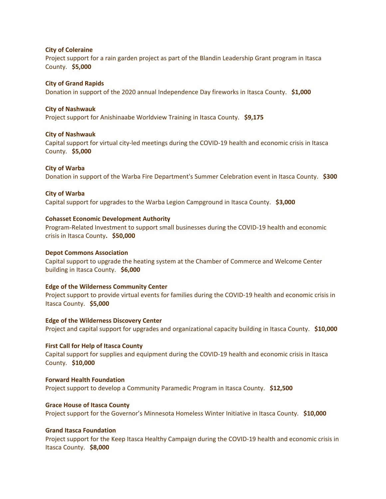## **City of Coleraine**

Project support for a rain garden project as part of the Blandin Leadership Grant program in Itasca County. **\$5,000**

## **City of Grand Rapids**

Donation in support of the 2020 annual Independence Day fireworks in Itasca County. **\$1,000**

## **City of Nashwauk**

Project support for Anishinaabe Worldview Training in Itasca County. **\$9,175**

## **City of Nashwauk**

Capital support for virtual city-led meetings during the COVID-19 health and economic crisis in Itasca County. **\$5,000**

## **City of Warba**

Donation in support of the Warba Fire Department's Summer Celebration event in Itasca County. **\$300**

## **City of Warba**

Capital support for upgrades to the Warba Legion Campground in Itasca County. **\$3,000**

## **Cohasset Economic Development Authority**

Program-Related Investment to support small businesses during the COVID-19 health and economic crisis in Itasca County**. \$50,000**

## **Depot Commons Association**

Capital support to upgrade the heating system at the Chamber of Commerce and Welcome Center building in Itasca County. **\$6,000**

### **Edge of the Wilderness Community Center**

Project support to provide virtual events for families during the COVID-19 health and economic crisis in Itasca County. **\$5,000**

## **Edge of the Wilderness Discovery Center**

Project and capital support for upgrades and organizational capacity building in Itasca County. **\$10,000**

## **First Call for Help of Itasca County**

Capital support for supplies and equipment during the COVID-19 health and economic crisis in Itasca County. **\$10,000**

### **Forward Health Foundation**

Project support to develop a Community Paramedic Program in Itasca County. **\$12,500**

## **Grace House of Itasca County**

Project support for the Governor's Minnesota Homeless Winter Initiative in Itasca County. **\$10,000**

## **Grand Itasca Foundation**

Project support for the Keep Itasca Healthy Campaign during the COVID-19 health and economic crisis in Itasca County. **\$8,000**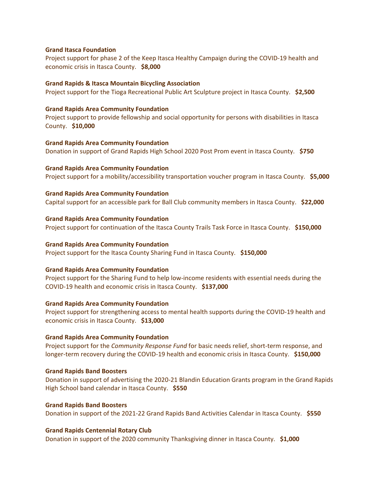### **Grand Itasca Foundation**

Project support for phase 2 of the Keep Itasca Healthy Campaign during the COVID-19 health and economic crisis in Itasca County. **\$8,000**

### **Grand Rapids & Itasca Mountain Bicycling Association**

Project support for the Tioga Recreational Public Art Sculpture project in Itasca County. **\$2,500**

## **Grand Rapids Area Community Foundation**

Project support to provide fellowship and social opportunity for persons with disabilities in Itasca County. **\$10,000**

### **Grand Rapids Area Community Foundation**

Donation in support of Grand Rapids High School 2020 Post Prom event in Itasca County. **\$750**

**Grand Rapids Area Community Foundation** Project support for a mobility/accessibility transportation voucher program in Itasca County. **\$5,000**

## **Grand Rapids Area Community Foundation**

Capital support for an accessible park for Ball Club community members in Itasca County. **\$22,000**

### **Grand Rapids Area Community Foundation**

Project support for continuation of the Itasca County Trails Task Force in Itasca County. **\$150,000**

### **Grand Rapids Area Community Foundation**

Project support for the Itasca County Sharing Fund in Itasca County. **\$150,000**

## **Grand Rapids Area Community Foundation**

Project support for the Sharing Fund to help low-income residents with essential needs during the COVID-19 health and economic crisis in Itasca County. **\$137,000**

### **Grand Rapids Area Community Foundation**

Project support for strengthening access to mental health supports during the COVID-19 health and economic crisis in Itasca County. **\$13,000**

### **Grand Rapids Area Community Foundation**

Project support for the *Community Response Fund* for basic needs relief, short-term response, and longer-term recovery during the COVID-19 health and economic crisis in Itasca County. **\$150,000**

### **Grand Rapids Band Boosters**

Donation in support of advertising the 2020-21 Blandin Education Grants program in the Grand Rapids High School band calendar in Itasca County. **\$550**

## **Grand Rapids Band Boosters** Donation in support of the 2021-22 Grand Rapids Band Activities Calendar in Itasca County. **\$550**

### **Grand Rapids Centennial Rotary Club**

Donation in support of the 2020 community Thanksgiving dinner in Itasca County. **\$1,000**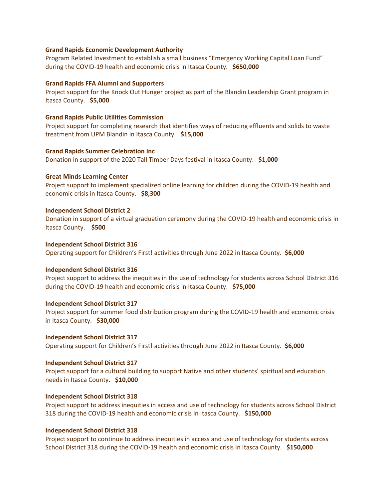### **Grand Rapids Economic Development Authority**

Program Related Investment to establish a small business "Emergency Working Capital Loan Fund" during the COVID-19 health and economic crisis in Itasca County. **\$650,000**

## **Grand Rapids FFA Alumni and Supporters**

Project support for the Knock Out Hunger project as part of the Blandin Leadership Grant program in Itasca County. **\$5,000**

## **Grand Rapids Public Utilities Commission**

Project support for completing research that identifies ways of reducing effluents and solids to waste treatment from UPM Blandin in Itasca County. **\$15,000**

## **Grand Rapids Summer Celebration Inc**

Donation in support of the 2020 Tall Timber Days festival in Itasca County. **\$1,000**

## **Great Minds Learning Center**

Project support to implement specialized online learning for children during the COVID-19 health and economic crisis in Itasca County. **\$8,300**

## **Independent School District 2**

Donation in support of a virtual graduation ceremony during the COVID-19 health and economic crisis in Itasca County. **\$500**

## **Independent School District 316**

Operating support for Children's First! activities through June 2022 in Itasca County. **\$6,000**

### **Independent School District 316**

Project support to address the inequities in the use of technology for students across School District 316 during the COVID-19 health and economic crisis in Itasca County. **\$75,000**

### **Independent School District 317**

Project support for summer food distribution program during the COVID-19 health and economic crisis in Itasca County. **\$30,000**

### **Independent School District 317**

Operating support for Children's First! activities through June 2022 in Itasca County. **\$6,000**

### **Independent School District 317**

Project support for a cultural building to support Native and other students' spiritual and education needs in Itasca County. **\$10,000**

## **Independent School District 318**

Project support to address inequities in access and use of technology for students across School District 318 during the COVID-19 health and economic crisis in Itasca County. **\$150,000**

### **Independent School District 318**

Project support to continue to address inequities in access and use of technology for students across School District 318 during the COVID-19 health and economic crisis in Itasca County. **\$150,000**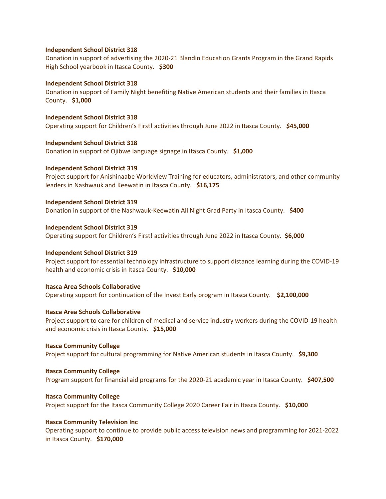### **Independent School District 318**

Donation in support of advertising the 2020-21 Blandin Education Grants Program in the Grand Rapids High School yearbook in Itasca County. **\$300**

### **Independent School District 318**

Donation in support of Family Night benefiting Native American students and their families in Itasca County. **\$1,000**

## **Independent School District 318** Operating support for Children's First! activities through June 2022 in Itasca County. **\$45,000**

**Independent School District 318** Donation in support of Ojibwe language signage in Itasca County. **\$1,000**

## **Independent School District 319**

Project support for Anishinaabe Worldview Training for educators, administrators, and other community leaders in Nashwauk and Keewatin in Itasca County. **\$16,175**

### **Independent School District 319**

Donation in support of the Nashwauk-Keewatin All Night Grad Party in Itasca County. **\$400**

### **Independent School District 319**

Operating support for Children's First! activities through June 2022 in Itasca County. **\$6,000**

### **Independent School District 319**

Project support for essential technology infrastructure to support distance learning during the COVID-19 health and economic crisis in Itasca County. **\$10,000**

## **Itasca Area Schools Collaborative**

Operating support for continuation of the Invest Early program in Itasca County. **\$2,100,000**

## **Itasca Area Schools Collaborative**

Project support to care for children of medical and service industry workers during the COVID-19 health and economic crisis in Itasca County. **\$15,000**

### **Itasca Community College**

Project support for cultural programming for Native American students in Itasca County. **\$9,300**

### **Itasca Community College**

Program support for financial aid programs for the 2020-21 academic year in Itasca County. **\$407,500**

### **Itasca Community College**

Project support for the Itasca Community College 2020 Career Fair in Itasca County. **\$10,000**

### **Itasca Community Television Inc**

Operating support to continue to provide public access television news and programming for 2021-2022 in Itasca County. **\$170,000**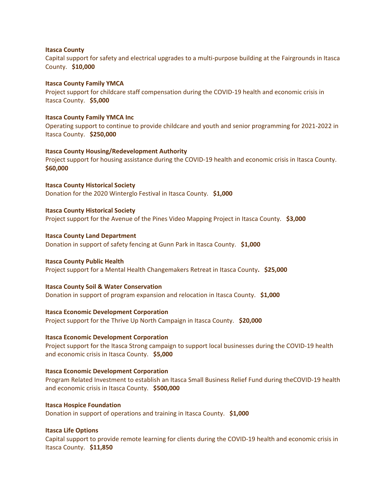### **Itasca County**

Capital support for safety and electrical upgrades to a multi-purpose building at the Fairgrounds in Itasca County. **\$10,000**

### **Itasca County Family YMCA**

Project support for childcare staff compensation during the COVID-19 health and economic crisis in Itasca County. **\$5,000**

### **Itasca County Family YMCA Inc**

Operating support to continue to provide childcare and youth and senior programming for 2021-2022 in Itasca County. **\$250,000**

### **Itasca County Housing/Redevelopment Authority**

Project support for housing assistance during the COVID-19 health and economic crisis in Itasca County. **\$60,000**

**Itasca County Historical Society** Donation for the 2020 Winterglo Festival in Itasca County. **\$1,000**

### **Itasca County Historical Society**

Project support for the Avenue of the Pines Video Mapping Project in Itasca County. **\$3,000**

### **Itasca County Land Department**

Donation in support of safety fencing at Gunn Park in Itasca County. **\$1,000**

## **Itasca County Public Health**

Project support for a Mental Health Changemakers Retreat in Itasca County**. \$25,000**

### **Itasca County Soil & Water Conservation**

Donation in support of program expansion and relocation in Itasca County. **\$1,000**

### **Itasca Economic Development Corporation**

Project support for the Thrive Up North Campaign in Itasca County. **\$20,000**

### **Itasca Economic Development Corporation**

Project support for the Itasca Strong campaign to support local businesses during the COVID-19 health and economic crisis in Itasca County. **\$5,000**

## **Itasca Economic Development Corporation**

Program Related Investment to establish an Itasca Small Business Relief Fund during theCOVID-19 health and economic crisis in Itasca County. **\$500,000**

## **Itasca Hospice Foundation**

Donation in support of operations and training in Itasca County. **\$1,000**

## **Itasca Life Options**

Capital support to provide remote learning for clients during the COVID-19 health and economic crisis in Itasca County. **\$11,850**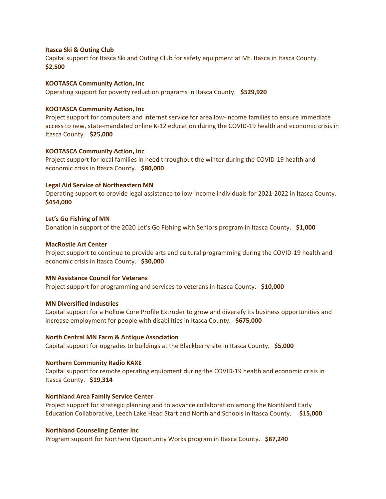### **Itasca Ski & Outing Club**

Capital support for Itasca Ski and Outing Club for safety equipment at Mt. Itasca in Itasca County. **\$2,500**

### **KOOTASCA Community Action, Inc**

Operating support for poverty reduction programs in Itasca County. **\$529,920**

### **KOOTASCA Community Action, Inc**

Project support for computers and internet service for area low-income families to ensure immediate access to new, state-mandated online K-12 education during the COVID-19 health and economic crisis in Itasca County. **\$25,000**

### **KOOTASCA Community Action, Inc**

Project support for local families in need throughout the winter during the COVID-19 health and economic crisis in Itasca County. **\$80,000**

### **Legal Aid Service of Northeastern MN**

Operating support to provide legal assistance to low-income individuals for 2021-2022 in Itasca County. **\$454,000**

### **Let's Go Fishing of MN**

Donation in support of the 2020 Let's Go Fishing with Seniors program in Itasca County. **\$1,000**

### **MacRostie Art Center**

Project support to continue to provide arts and cultural programming during the COVID-19 health and economic crisis in Itasca County. **\$30,000**

### **MN Assistance Council for Veterans**

Project support for programming and services to veterans in Itasca County. **\$10,000**

### **MN Diversified Industries**

Capital support for a Hollow Core Profile Extruder to grow and diversify its business opportunities and increase employment for people with disabilities in Itasca County. **\$675,000**

### **North Central MN Farm & Antique Association**

Capital support for upgrades to buildings at the Blackberry site in Itasca County. **\$5,000**

### **Northern Community Radio KAXE**

Capital support for remote operating equipment during the COVID-19 health and economic crisis in Itasca County. **\$19,314**

### **Northland Area Family Service Center**

Project support for strategic planning and to advance collaboration among the Northland Early Education Collaborative, Leech Lake Head Start and Northland Schools in Itasca County. **\$15,000**

### **Northland Counseling Center Inc**

Program support for Northern Opportunity Works program in Itasca County. **\$87,240**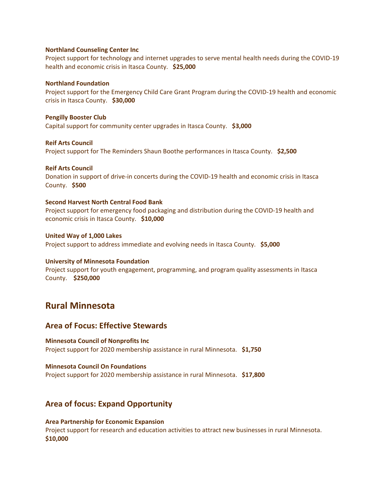### **Northland Counseling Center Inc**

Project support for technology and internet upgrades to serve mental health needs during the COVID-19 health and economic crisis in Itasca County. **\$25,000**

### **Northland Foundation**

Project support for the Emergency Child Care Grant Program during the COVID-19 health and economic crisis in Itasca County. **\$30,000**

## **Pengilly Booster Club**

Capital support for community center upgrades in Itasca County. **\$3,000**

### **Reif Arts Council**

Project support for The Reminders Shaun Boothe performances in Itasca County. **\$2,500**

### **Reif Arts Council**

Donation in support of drive-in concerts during the COVID-19 health and economic crisis in Itasca County. **\$500**

### **Second Harvest North Central Food Bank**

Project support for emergency food packaging and distribution during the COVID-19 health and economic crisis in Itasca County. **\$10,000**

## **United Way of 1,000 Lakes** Project support to address immediate and evolving needs in Itasca County. **\$5,000**

## **University of Minnesota Foundation**

Project support for youth engagement, programming, and program quality assessments in Itasca County. **\$250,000**

## **Rural Minnesota**

## **Area of Focus: Effective Stewards**

**Minnesota Council of Nonprofits Inc** Project support for 2020 membership assistance in rural Minnesota. **\$1,750**

## **Minnesota Council On Foundations**

Project support for 2020 membership assistance in rural Minnesota. **\$17,800**

## **Area of focus: Expand Opportunity**

### **Area Partnership for Economic Expansion**

Project support for research and education activities to attract new businesses in rural Minnesota. **\$10,000**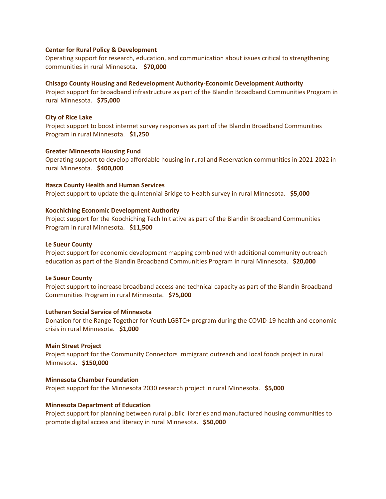### **Center for Rural Policy & Development**

Operating support for research, education, and communication about issues critical to strengthening communities in rural Minnesota. **\$70,000**

### **Chisago County Housing and Redevelopment Authority-Economic Development Authority**

Project support for broadband infrastructure as part of the Blandin Broadband Communities Program in rural Minnesota. **\$75,000**

### **City of Rice Lake**

Project support to boost internet survey responses as part of the Blandin Broadband Communities Program in rural Minnesota. **\$1,250**

### **Greater Minnesota Housing Fund**

Operating support to develop affordable housing in rural and Reservation communities in 2021-2022 in rural Minnesota. **\$400,000**

### **Itasca County Health and Human Services**

Project support to update the quintennial Bridge to Health survey in rural Minnesota. **\$5,000**

### **Koochiching Economic Development Authority**

Project support for the Koochiching Tech Initiative as part of the Blandin Broadband Communities Program in rural Minnesota. **\$11,500**

### **Le Sueur County**

Project support for economic development mapping combined with additional community outreach education as part of the Blandin Broadband Communities Program in rural Minnesota. **\$20,000**

### **Le Sueur County**

Project support to increase broadband access and technical capacity as part of the Blandin Broadband Communities Program in rural Minnesota. **\$75,000**

## **Lutheran Social Service of Minnesota**

Donation for the Range Together for Youth LGBTQ+ program during the COVID-19 health and economic crisis in rural Minnesota. **\$1,000**

### **Main Street Project**

Project support for the Community Connectors immigrant outreach and local foods project in rural Minnesota. **\$150,000**

### **Minnesota Chamber Foundation**

Project support for the Minnesota 2030 research project in rural Minnesota. **\$5,000**

### **Minnesota Department of Education**

Project support for planning between rural public libraries and manufactured housing communities to promote digital access and literacy in rural Minnesota. **\$50,000**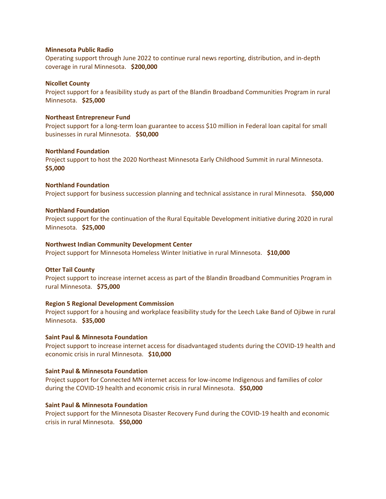### **Minnesota Public Radio**

Operating support through June 2022 to continue rural news reporting, distribution, and in-depth coverage in rural Minnesota. **\$200,000**

### **Nicollet County**

Project support for a feasibility study as part of the Blandin Broadband Communities Program in rural Minnesota. **\$25,000**

### **Northeast Entrepreneur Fund**

Project support for a long-term loan guarantee to access \$10 million in Federal loan capital for small businesses in rural Minnesota. **\$50,000**

### **Northland Foundation**

Project support to host the 2020 Northeast Minnesota Early Childhood Summit in rural Minnesota. **\$5,000**

## **Northland Foundation** Project support for business succession planning and technical assistance in rural Minnesota. **\$50,000**

### **Northland Foundation**

Project support for the continuation of the Rural Equitable Development initiative during 2020 in rural Minnesota. **\$25,000**

### **Northwest Indian Community Development Center**

Project support for Minnesota Homeless Winter Initiative in rural Minnesota. **\$10,000**

### **Otter Tail County**

Project support to increase internet access as part of the Blandin Broadband Communities Program in rural Minnesota. **\$75,000**

### **Region 5 Regional Development Commission**

Project support for a housing and workplace feasibility study for the Leech Lake Band of Ojibwe in rural Minnesota. **\$35,000**

### **Saint Paul & Minnesota Foundation**

Project support to increase internet access for disadvantaged students during the COVID-19 health and economic crisis in rural Minnesota. **\$10,000**

## **Saint Paul & Minnesota Foundation**

Project support for Connected MN internet access for low-income Indigenous and families of color during the COVID-19 health and economic crisis in rural Minnesota. **\$50,000**

## **Saint Paul & Minnesota Foundation**

Project support for the Minnesota Disaster Recovery Fund during the COVID-19 health and economic crisis in rural Minnesota. **\$50,000**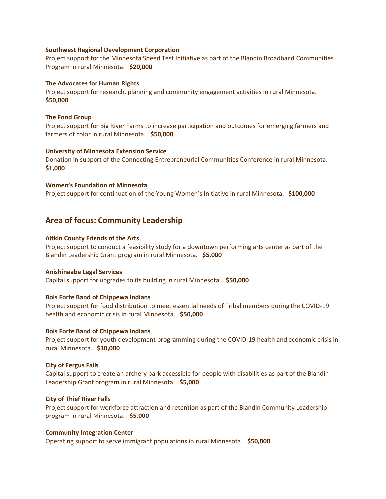### **Southwest Regional Development Corporation**

Project support for the Minnesota Speed Test Initiative as part of the Blandin Broadband Communities Program in rural Minnesota. **\$20,000**

### **The Advocates for Human Rights**

Project support for research, planning and community engagement activities in rural Minnesota. **\$50,000**

### **The Food Group**

Project support for Big River Farms to increase participation and outcomes for emerging farmers and farmers of color in rural Minnesota. **\$50,000**

### **University of Minnesota Extension Service**

Donation in support of the Connecting Entrepreneurial Communities Conference in rural Minnesota. **\$1,000**

### **Women's Foundation of Minnesota**

Project support for continuation of the Young Women's Initiative in rural Minnesota. **\$100,000**

## **Area of focus: Community Leadership**

## **Aitkin County Friends of the Arts**

Project support to conduct a feasibility study for a downtown performing arts center as part of the Blandin Leadership Grant program in rural Minnesota. **\$5,000**

### **Anishinaabe Legal Services**

Capital support for upgrades to its building in rural Minnesota. **\$50,000**

## **Bois Forte Band of Chippewa Indians**

Project support for food distribution to meet essential needs of Tribal members during the COVID-19 health and economic crisis in rural Minnesota. **\$50,000**

### **Bois Forte Band of Chippewa Indians**

Project support for youth development programming during the COVID-19 health and economic crisis in rural Minnesota. **\$30,000**

### **City of Fergus Falls**

Capital support to create an archery park accessible for people with disabilities as part of the Blandin Leadership Grant program in rural Minnesota. **\$5,000**

## **City of Thief River Falls**

Project support for workforce attraction and retention as part of the Blandin Community Leadership program in rural Minnesota. **\$5,000**

### **Community Integration Center**

Operating support to serve immigrant populations in rural Minnesota. **\$50,000**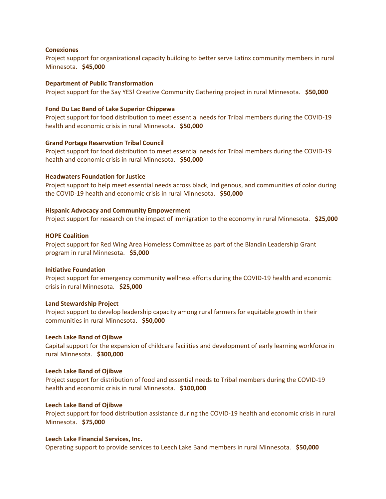### **Conexiones**

Project support for organizational capacity building to better serve Latinx community members in rural Minnesota. **\$45,000**

### **Department of Public Transformation**

Project support for the Say YES! Creative Community Gathering project in rural Minnesota. **\$50,000**

### **Fond Du Lac Band of Lake Superior Chippewa**

Project support for food distribution to meet essential needs for Tribal members during the COVID-19 health and economic crisis in rural Minnesota. **\$50,000**

### **Grand Portage Reservation Tribal Council**

Project support for food distribution to meet essential needs for Tribal members during the COVID-19 health and economic crisis in rural Minnesota. **\$50,000**

### **Headwaters Foundation for Justice**

Project support to help meet essential needs across black, Indigenous, and communities of color during the COVID-19 health and economic crisis in rural Minnesota. **\$50,000**

### **Hispanic Advocacy and Community Empowerment**

Project support for research on the impact of immigration to the economy in rural Minnesota. **\$25,000**

### **HOPE Coalition**

Project support for Red Wing Area Homeless Committee as part of the Blandin Leadership Grant program in rural Minnesota. **\$5,000**

### **Initiative Foundation**

Project support for emergency community wellness efforts during the COVID-19 health and economic crisis in rural Minnesota. **\$25,000**

### **Land Stewardship Project**

Project support to develop leadership capacity among rural farmers for equitable growth in their communities in rural Minnesota. **\$50,000**

### **Leech Lake Band of Ojibwe**

Capital support for the expansion of childcare facilities and development of early learning workforce in rural Minnesota. **\$300,000**

### **Leech Lake Band of Ojibwe**

Project support for distribution of food and essential needs to Tribal members during the COVID-19 health and economic crisis in rural Minnesota. **\$100,000**

## **Leech Lake Band of Ojibwe**

Project support for food distribution assistance during the COVID-19 health and economic crisis in rural Minnesota. **\$75,000**

### **Leech Lake Financial Services, Inc.**

Operating support to provide services to Leech Lake Band members in rural Minnesota. **\$50,000**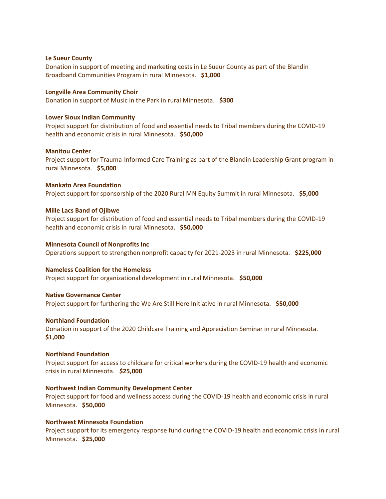### **Le Sueur County**

Donation in support of meeting and marketing costs in Le Sueur County as part of the Blandin Broadband Communities Program in rural Minnesota. **\$1,000**

### **Longville Area Community Choir**

Donation in support of Music in the Park in rural Minnesota. **\$300**

### **Lower Sioux Indian Community**

Project support for distribution of food and essential needs to Tribal members during the COVID-19 health and economic crisis in rural Minnesota. **\$50,000**

### **Manitou Center**

Project support for Trauma-Informed Care Training as part of the Blandin Leadership Grant program in rural Minnesota. **\$5,000**

### **Mankato Area Foundation**

Project support for sponsorship of the 2020 Rural MN Equity Summit in rural Minnesota. **\$5,000**

### **Mille Lacs Band of Ojibwe**

Project support for distribution of food and essential needs to Tribal members during the COVID-19 health and economic crisis in rural Minnesota. **\$50,000**

### **Minnesota Council of Nonprofits Inc**

Operations support to strengthen nonprofit capacity for 2021-2023 in rural Minnesota. **\$225,000**

### **Nameless Coalition for the Homeless**

Project support for organizational development in rural Minnesota. **\$50,000**

## **Native Governance Center**

Project support for furthering the We Are Still Here Initiative in rural Minnesota. **\$50,000**

### **Northland Foundation**

Donation in support of the 2020 Childcare Training and Appreciation Seminar in rural Minnesota. **\$1,000**

### **Northland Foundation**

Project support for access to childcare for critical workers during the COVID-19 health and economic crisis in rural Minnesota. **\$25,000**

## **Northwest Indian Community Development Center**

Project support for food and wellness access during the COVID-19 health and economic crisis in rural Minnesota. **\$50,000**

## **Northwest Minnesota Foundation**

Project support for its emergency response fund during the COVID-19 health and economic crisis in rural Minnesota. **\$25,000**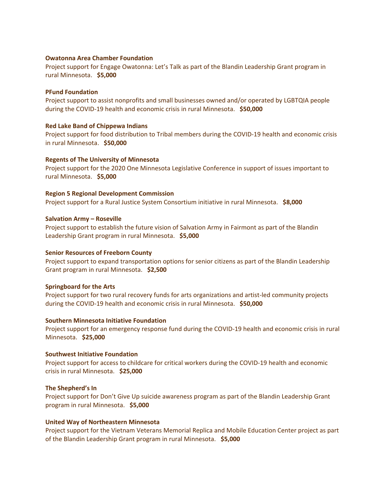## **Owatonna Area Chamber Foundation**

Project support for Engage Owatonna: Let's Talk as part of the Blandin Leadership Grant program in rural Minnesota. **\$5,000**

### **PFund Foundation**

Project support to assist nonprofits and small businesses owned and/or operated by LGBTQIA people during the COVID-19 health and economic crisis in rural Minnesota. **\$50,000**

## **Red Lake Band of Chippewa Indians**

Project support for food distribution to Tribal members during the COVID-19 health and economic crisis in rural Minnesota. **\$50,000**

## **Regents of The University of Minnesota**

Project support for the 2020 One Minnesota Legislative Conference in support of issues important to rural Minnesota. **\$5,000**

### **Region 5 Regional Development Commission**

Project support for a Rural Justice System Consortium initiative in rural Minnesota. **\$8,000**

### **Salvation Army – Roseville**

Project support to establish the future vision of Salvation Army in Fairmont as part of the Blandin Leadership Grant program in rural Minnesota. **\$5,000**

### **Senior Resources of Freeborn County**

Project support to expand transportation options for senior citizens as part of the Blandin Leadership Grant program in rural Minnesota. **\$2,500**

### **Springboard for the Arts**

Project support for two rural recovery funds for arts organizations and artist-led community projects during the COVID-19 health and economic crisis in rural Minnesota. **\$50,000**

### **Southern Minnesota Initiative Foundation**

Project support for an emergency response fund during the COVID-19 health and economic crisis in rural Minnesota. **\$25,000**

### **Southwest Initiative Foundation**

Project support for access to childcare for critical workers during the COVID-19 health and economic crisis in rural Minnesota. **\$25,000**

## **The Shepherd's In**

Project support for Don't Give Up suicide awareness program as part of the Blandin Leadership Grant program in rural Minnesota. **\$5,000**

## **United Way of Northeastern Minnesota**

Project support for the Vietnam Veterans Memorial Replica and Mobile Education Center project as part of the Blandin Leadership Grant program in rural Minnesota. **\$5,000**